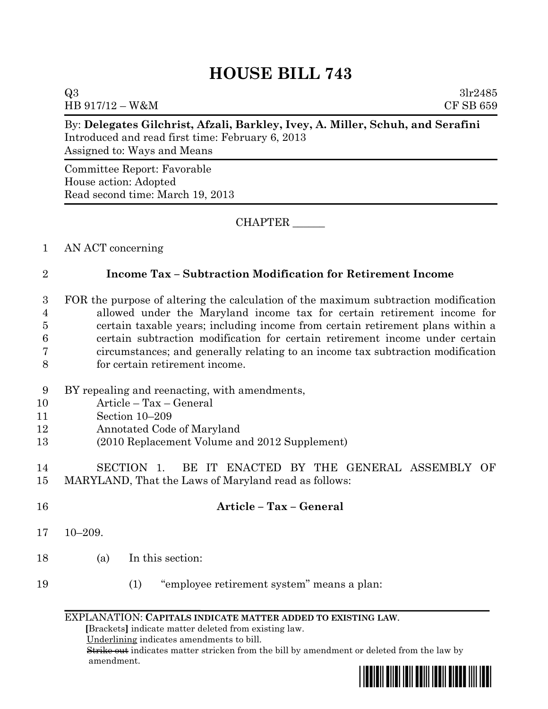## **HOUSE BILL 743**

 $Q3 \t3lr2485$ HB 917/12 – W&M CF SB 659

|                  | Assigned to: Ways and Means                                                                                       |
|------------------|-------------------------------------------------------------------------------------------------------------------|
|                  | Committee Report: Favorable                                                                                       |
|                  | House action: Adopted<br>Read second time: March 19, 2013                                                         |
|                  | <b>CHAPTER</b>                                                                                                    |
| $\mathbf{1}$     | AN ACT concerning                                                                                                 |
| $\sqrt{2}$       | <b>Income Tax - Subtraction Modification for Retirement Income</b>                                                |
| $\boldsymbol{3}$ | FOR the purpose of altering the calculation of the maximum subtraction modification                               |
| $\overline{4}$   | allowed under the Maryland income tax for certain retirement income for                                           |
| $\overline{5}$   | certain taxable years; including income from certain retirement plans within a                                    |
| 6                | certain subtraction modification for certain retirement income under certain                                      |
| 7<br>8           | circumstances; and generally relating to an income tax subtraction modification<br>for certain retirement income. |
| 9                | BY repealing and reenacting, with amendments,                                                                     |
| 10               | Article - Tax - General                                                                                           |
| 11               | Section 10-209                                                                                                    |
| 12               | Annotated Code of Maryland                                                                                        |
| 13               | (2010 Replacement Volume and 2012 Supplement)                                                                     |
| 14               | BE IT ENACTED BY THE GENERAL ASSEMBLY<br>SECTION 1.<br>OF                                                         |
| 15               | MARYLAND, That the Laws of Maryland read as follows:                                                              |
| 16               | Article - Tax - General                                                                                           |
| 17               | $10 - 209.$                                                                                                       |
| 18               | In this section:<br>(a)                                                                                           |

19 (1) "employee retirement system" means a plan:

## EXPLANATION: **CAPITALS INDICATE MATTER ADDED TO EXISTING LAW**.

 **[**Brackets**]** indicate matter deleted from existing law.

Underlining indicates amendments to bill.

 Strike out indicates matter stricken from the bill by amendment or deleted from the law by amendment.

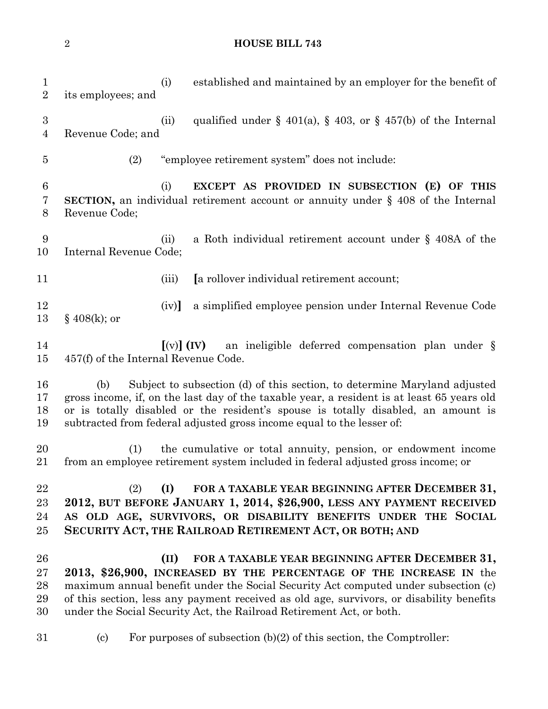## **HOUSE BILL 743**

| $\mathbf{1}$<br>$\overline{2}$     | established and maintained by an employer for the benefit of<br>(i)<br>its employees; and                                                                                                                                                                                                                                                                                               |
|------------------------------------|-----------------------------------------------------------------------------------------------------------------------------------------------------------------------------------------------------------------------------------------------------------------------------------------------------------------------------------------------------------------------------------------|
| $\boldsymbol{3}$<br>$\overline{4}$ | qualified under § 401(a), § 403, or § 457(b) of the Internal<br>(ii)<br>Revenue Code; and                                                                                                                                                                                                                                                                                               |
| $\overline{5}$                     | "employee retirement system" does not include:<br>(2)                                                                                                                                                                                                                                                                                                                                   |
| $\boldsymbol{6}$<br>7<br>8         | EXCEPT AS PROVIDED IN SUBSECTION (E) OF THIS<br>(i)<br><b>SECTION</b> , an individual retirement account or annuity under $\S$ 408 of the Internal<br>Revenue Code;                                                                                                                                                                                                                     |
| 9<br>10                            | a Roth individual retirement account under $\S$ 408A of the<br>(ii)<br>Internal Revenue Code;                                                                                                                                                                                                                                                                                           |
| 11                                 | [a rollover individual retirement account;<br>(iii)                                                                                                                                                                                                                                                                                                                                     |
| 12<br>13                           | a simplified employee pension under Internal Revenue Code<br>(iv)<br>$§$ 408(k); or                                                                                                                                                                                                                                                                                                     |
| 14<br>15                           | an ineligible deferred compensation plan under $\S$<br>$[(v)]$ $(IV)$<br>457(f) of the Internal Revenue Code.                                                                                                                                                                                                                                                                           |
| 16<br>17<br>18<br>19               | Subject to subsection (d) of this section, to determine Maryland adjusted<br>(b)<br>gross income, if, on the last day of the taxable year, a resident is at least 65 years old<br>or is totally disabled or the resident's spouse is totally disabled, an amount is<br>subtracted from federal adjusted gross income equal to the lesser of:                                            |
| 20<br>21                           | the cumulative or total annuity, pension, or endowment income<br>(1)<br>from an employee retirement system included in federal adjusted gross income; or                                                                                                                                                                                                                                |
| 22<br>23<br>24<br>25               | FOR A TAXABLE YEAR BEGINNING AFTER DECEMBER 31,<br>(2)<br>(I)<br>2012, BUT BEFORE JANUARY 1, 2014, \$26,900, LESS ANY PAYMENT RECEIVED<br>AS OLD AGE, SURVIVORS, OR DISABILITY BENEFITS UNDER THE SOCIAL<br>SECURITY ACT, THE RAILROAD RETIREMENT ACT, OR BOTH; AND                                                                                                                     |
| 26<br>27<br>28<br>29<br>30         | FOR A TAXABLE YEAR BEGINNING AFTER DECEMBER 31,<br>(II)<br>2013, \$26,900, INCREASED BY THE PERCENTAGE OF THE INCREASE IN the<br>maximum annual benefit under the Social Security Act computed under subsection (c)<br>of this section, less any payment received as old age, survivors, or disability benefits<br>under the Social Security Act, the Railroad Retirement Act, or both. |
| 31                                 | For purposes of subsection $(b)(2)$ of this section, the Comptroller:<br>$\left( \mathrm{c}\right)$                                                                                                                                                                                                                                                                                     |